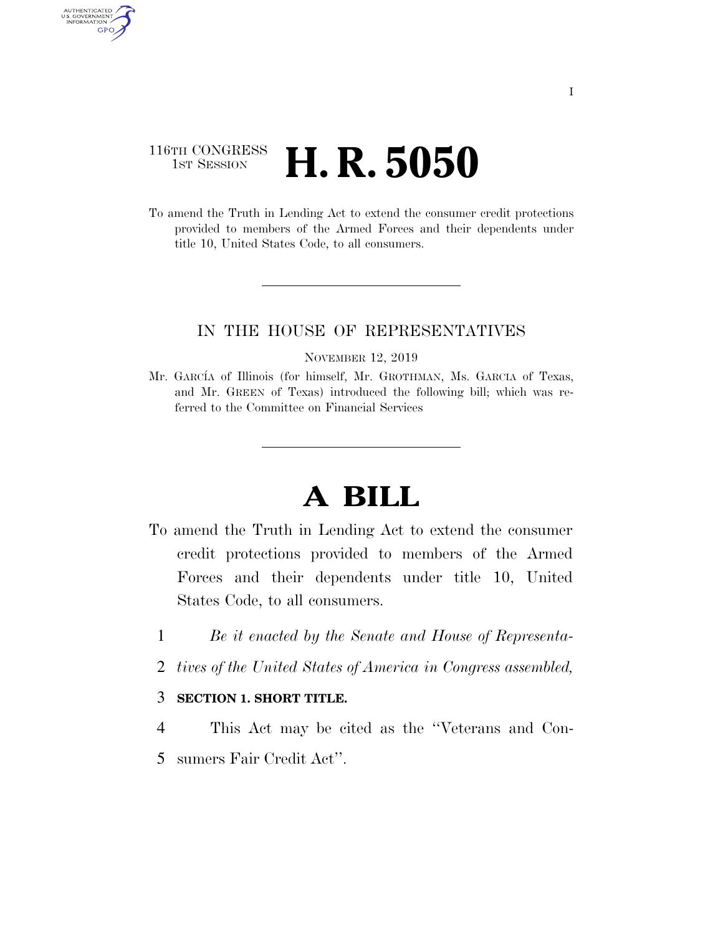### 116TH CONGRESS **1st Session H. R. 5050**

AUTHENTICATED U.S. GOVERNMENT GPO

> To amend the Truth in Lending Act to extend the consumer credit protections provided to members of the Armed Forces and their dependents under title 10, United States Code, to all consumers.

### IN THE HOUSE OF REPRESENTATIVES

NOVEMBER 12, 2019

Mr. GARCÍA of Illinois (for himself, Mr. GROTHMAN, Ms. GARCIA of Texas, and Mr. GREEN of Texas) introduced the following bill; which was referred to the Committee on Financial Services

## **A BILL**

- To amend the Truth in Lending Act to extend the consumer credit protections provided to members of the Armed Forces and their dependents under title 10, United States Code, to all consumers.
	- 1 *Be it enacted by the Senate and House of Representa-*
	- 2 *tives of the United States of America in Congress assembled,*

#### 3 **SECTION 1. SHORT TITLE.**

- 4 This Act may be cited as the ''Veterans and Con-
- 5 sumers Fair Credit Act''.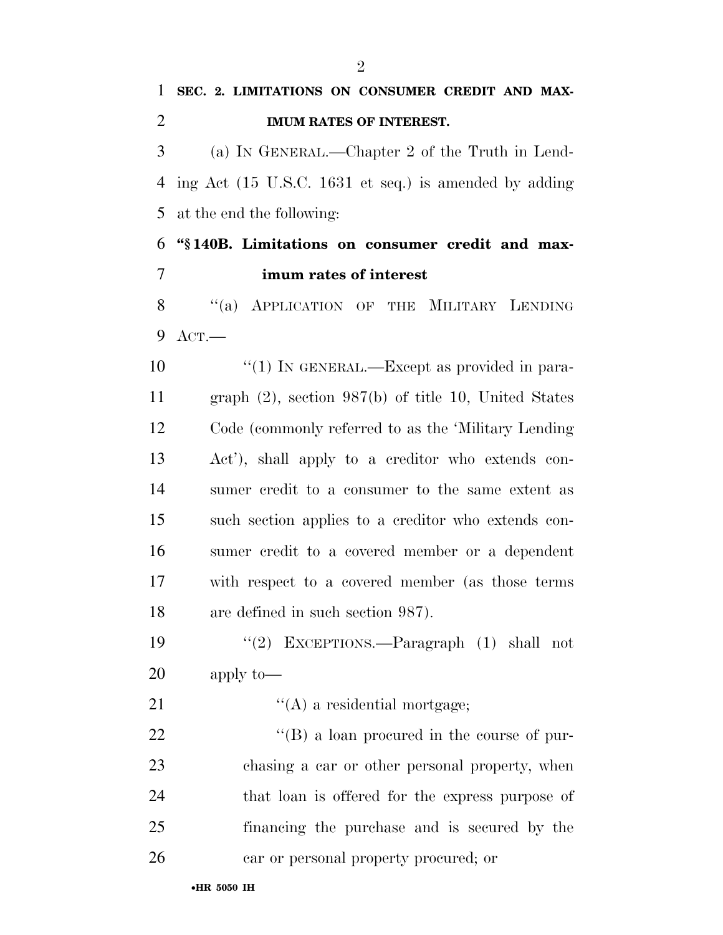**SEC. 2. LIMITATIONS ON CONSUMER CREDIT AND MAX-**

# •**HR 5050 IH IMUM RATES OF INTEREST.**  (a) IN GENERAL.—Chapter 2 of the Truth in Lend- ing Act (15 U.S.C. 1631 et seq.) is amended by adding at the end the following: **''§ 140B. Limitations on consumer credit and max- imum rates of interest**  8 "(a) APPLICATION OF THE MILITARY LENDING ACT.— 10  $\frac{10}{10}$  In GENERAL.—Except as provided in para- graph (2), section 987(b) of title 10, United States Code (commonly referred to as the 'Military Lending Act'), shall apply to a creditor who extends con- sumer credit to a consumer to the same extent as such section applies to a creditor who extends con- sumer credit to a covered member or a dependent with respect to a covered member (as those terms are defined in such section 987). ''(2) EXCEPTIONS.—Paragraph (1) shall not apply to— 21  $\langle (A)$  a residential mortgage; 22  $\text{``(B) a loan procedure}$  in the course of pur- chasing a car or other personal property, when that loan is offered for the express purpose of financing the purchase and is secured by the car or personal property procured; or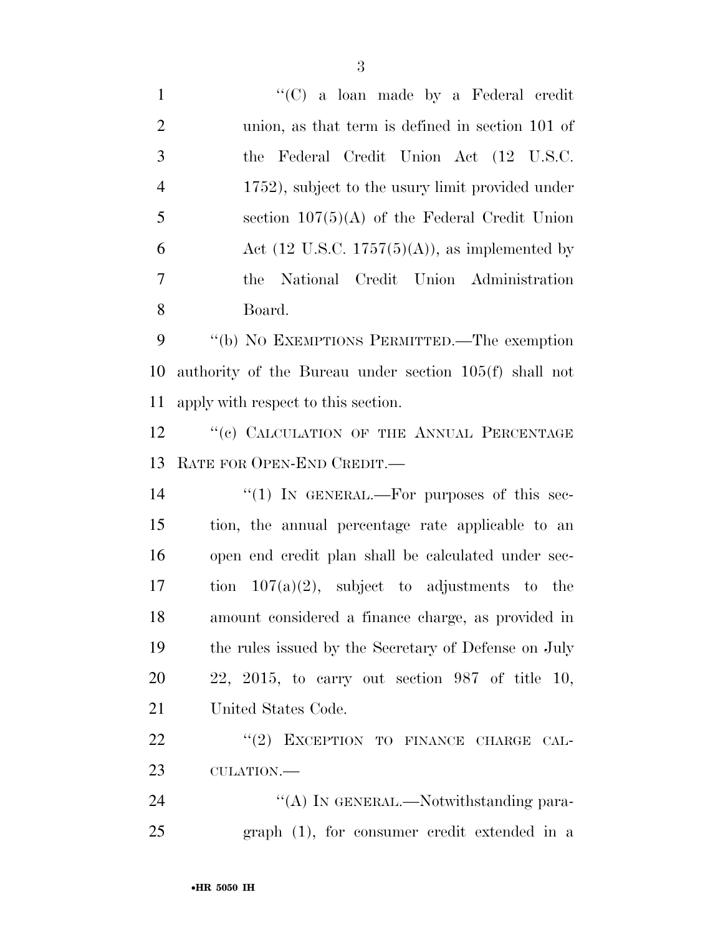| $\mathbf{1}$   | " $(C)$ a loan made by a Federal credit                          |
|----------------|------------------------------------------------------------------|
| $\overline{2}$ | union, as that term is defined in section 101 of                 |
| 3              | the Federal Credit Union Act (12 U.S.C.                          |
| $\overline{4}$ | 1752), subject to the usury limit provided under                 |
| 5              | section $107(5)(A)$ of the Federal Credit Union                  |
| 6              | Act $(12 \text{ U.S.C. } 1757(5)(\text{A}))$ , as implemented by |
| $\overline{7}$ | National Credit Union Administration<br>the                      |
| 8              | Board.                                                           |
| 9              | "(b) NO EXEMPTIONS PERMITTED.—The exemption                      |
| 10             | authority of the Bureau under section 105(f) shall not           |
| 11             | apply with respect to this section.                              |
| 12             | "(c) CALCULATION OF THE ANNUAL PERCENTAGE                        |
| 13             | RATE FOR OPEN-END CREDIT.                                        |
| 14             | "(1) IN GENERAL.—For purposes of this sec-                       |
| 15             | tion, the annual percentage rate applicable to an                |
| 16             | open end credit plan shall be calculated under sec-              |
| 17             | tion $107(a)(2)$ , subject to adjustments to the                 |
| 18             | amount considered a finance charge, as provided in               |
| 19             | the rules issued by the Secretary of Defense on July             |
| <b>20</b>      | $22, 2015,$ to carry out section 987 of title 10,                |
| 21             | United States Code.                                              |
| <u>22</u>      | "(2) EXCEPTION TO FINANCE CHARGE CAL-                            |
| 23             | CULATION.-                                                       |
| 24             | "(A) IN GENERAL.—Notwithstanding para-                           |
| 25             | $graph$ (1), for consumer credit extended in a                   |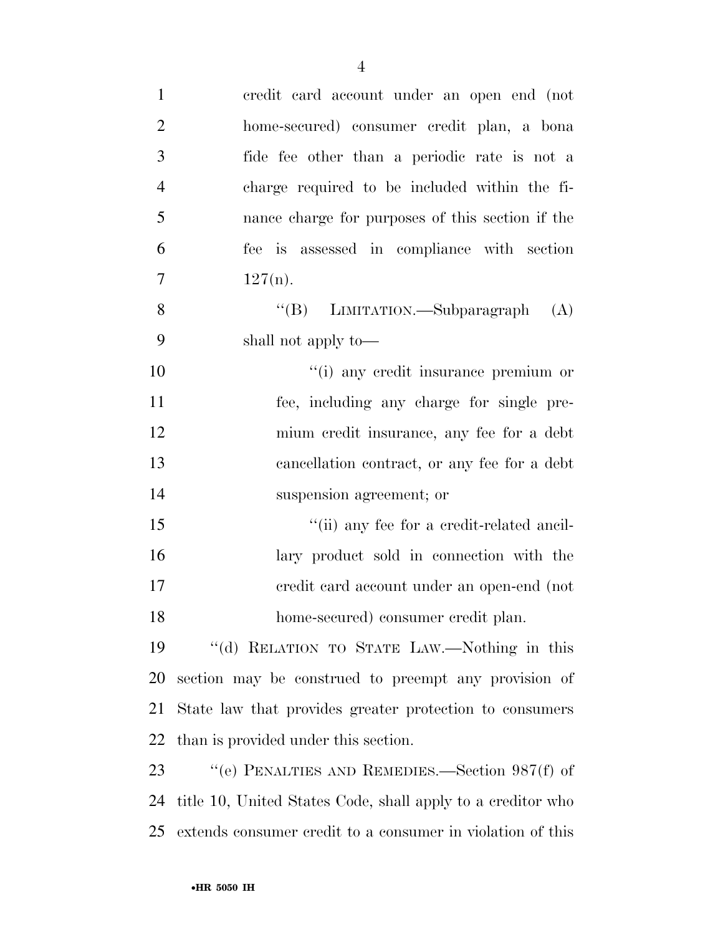| $\mathbf{1}$   | credit card account under an open end (not                  |
|----------------|-------------------------------------------------------------|
| $\overline{2}$ | home-secured) consumer credit plan, a bona                  |
| 3              | fide fee other than a periodic rate is not a                |
| $\overline{4}$ | charge required to be included within the fi-               |
| 5              | nance charge for purposes of this section if the            |
| 6              | fee is assessed in compliance with section                  |
| $\overline{7}$ | $127(n)$ .                                                  |
| 8              | "(B) LIMITATION.—Subparagraph<br>(A)                        |
| 9              | shall not apply to—                                         |
| 10             | "(i) any credit insurance premium or                        |
| 11             | fee, including any charge for single pre-                   |
| 12             | mium credit insurance, any fee for a debt                   |
| 13             | cancellation contract, or any fee for a debt                |
| 14             | suspension agreement; or                                    |
| 15             | "(ii) any fee for a credit-related ancil-                   |
| 16             | lary product sold in connection with the                    |
| 17             | credit card account under an open-end (not                  |
| 18             | home-secured) consumer credit plan.                         |
| 19             | "(d) RELATION TO STATE LAW.—Nothing in this                 |
| 20             | section may be construed to preempt any provision of        |
| 21             | State law that provides greater protection to consumers     |
| 22             | than is provided under this section.                        |
| 23             | "(e) PENALTIES AND REMEDIES.—Section $987(f)$ of            |
| 24             | title 10, United States Code, shall apply to a creditor who |
| 25             | extends consumer credit to a consumer in violation of this  |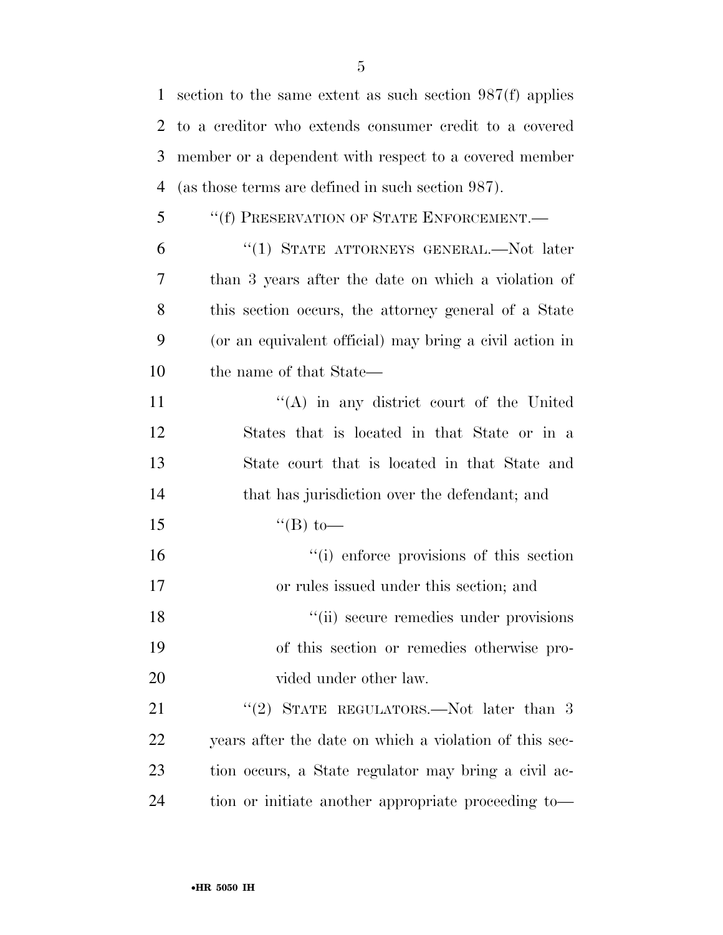section to the same extent as such section 987(f) applies to a creditor who extends consumer credit to a covered member or a dependent with respect to a covered member (as those terms are defined in such section 987). ''(f) PRESERVATION OF STATE ENFORCEMENT.—

 ''(1) STATE ATTORNEYS GENERAL.—Not later than 3 years after the date on which a violation of this section occurs, the attorney general of a State (or an equivalent official) may bring a civil action in the name of that State—

11 ''(A) in any district court of the United States that is located in that State or in a State court that is located in that State and that has jurisdiction over the defendant; and  $"({\rm B})$  to—

16  $\frac{1}{10}$  enforce provisions of this section or rules issued under this section; and 18 ''(ii) secure remedies under provisions of this section or remedies otherwise pro-20 vided under other law.

21 "(2) STATE REGULATORS.—Not later than 3 years after the date on which a violation of this sec- tion occurs, a State regulator may bring a civil ac-tion or initiate another appropriate proceeding to—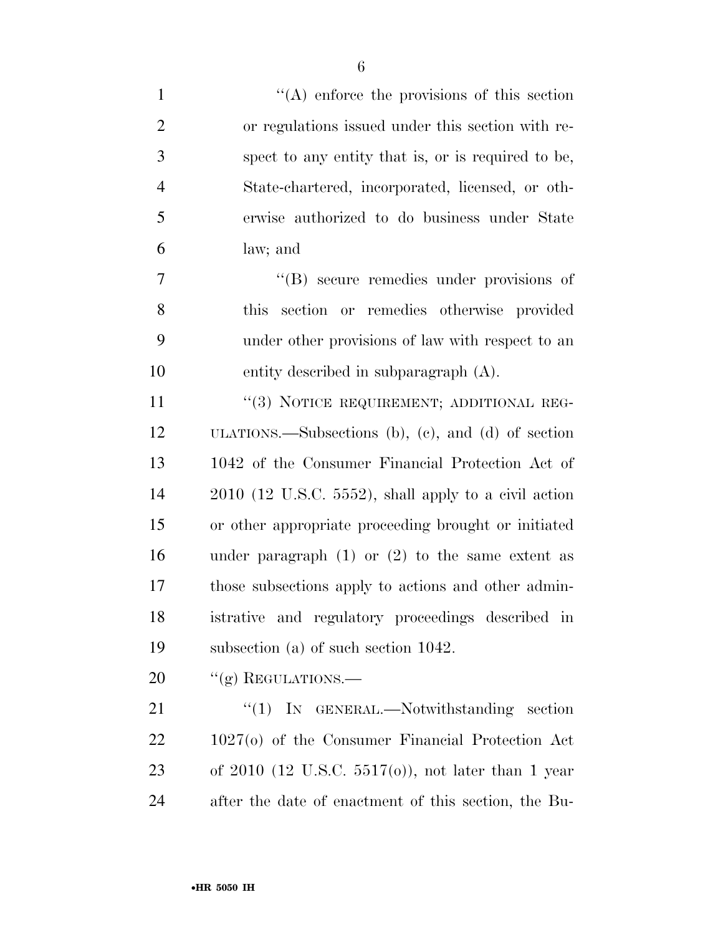| $\mathbf{1}$   | $\lq\lq$ enforce the provisions of this section         |
|----------------|---------------------------------------------------------|
| $\overline{2}$ | or regulations issued under this section with re-       |
| 3              | spect to any entity that is, or is required to be,      |
| $\overline{4}$ | State-chartered, incorporated, licensed, or oth-        |
| 5              | erwise authorized to do business under State            |
| 6              | law; and                                                |
| $\overline{7}$ | "(B) secure remedies under provisions of                |
| 8              | section or remedies otherwise provided<br>this          |
| 9              | under other provisions of law with respect to an        |
| 10             | entity described in subparagraph (A).                   |
| 11             | "(3) NOTICE REQUIREMENT; ADDITIONAL REG-                |
| 12             | ULATIONS.—Subsections (b), (c), and (d) of section      |
| 13             | 1042 of the Consumer Financial Protection Act of        |
| 14             | $2010$ (12 U.S.C. 5552), shall apply to a civil action  |
| 15             | or other appropriate proceeding brought or initiated    |
| 16             | under paragraph $(1)$ or $(2)$ to the same extent as    |
| 17             | those subsections apply to actions and other admin-     |
| 18             | istrative and regulatory proceedings described in       |
| 19             | subsection (a) of such section $1042$ .                 |
| 20             | "(g) REGULATIONS.—                                      |
| 21             | $\lq(1)$ In GENERAL.—Notwithstanding section            |
| 22             | $1027(o)$ of the Consumer Financial Protection Act      |
| 23             | of $2010$ (12 U.S.C. $5517(0)$ ), not later than 1 year |
| 24             | after the date of enactment of this section, the Bu-    |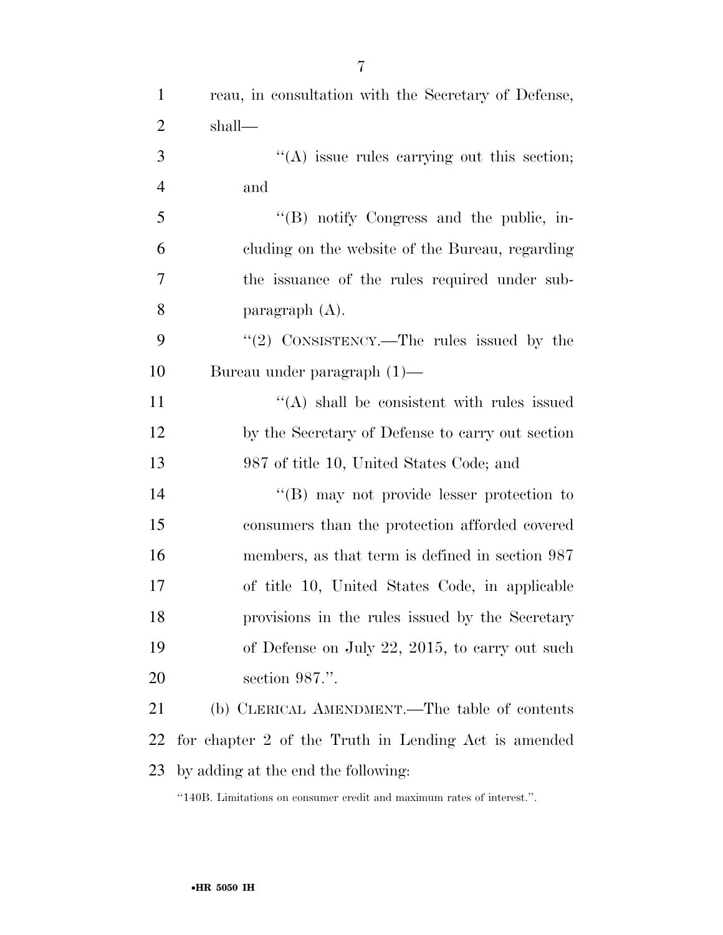| $\mathbf{1}$   | reau, in consultation with the Secretary of Defense, |
|----------------|------------------------------------------------------|
| $\overline{2}$ | shall—                                               |
| 3              | "(A) issue rules carrying out this section;          |
| $\overline{4}$ | and                                                  |
| 5              | "(B) notify Congress and the public, in-             |
| 6              | cluding on the website of the Bureau, regarding      |
| 7              | the issuance of the rules required under sub-        |
| 8              | paragraph $(A)$ .                                    |
| 9              | " $(2)$ CONSISTENCY.—The rules issued by the         |
| 10             | Bureau under paragraph $(1)$ —                       |
| 11             | $\lq\lq$ shall be consistent with rules issued       |
| 12             | by the Secretary of Defense to carry out section     |
| 13             | 987 of title 10, United States Code; and             |
| 14             | $\lq\lq (B)$ may not provide lesser protection to    |
| 15             | consumers than the protection afforded covered       |
| 16             | members, as that term is defined in section 987      |
| 17             | of title 10, United States Code, in applicable       |
| 18             | provisions in the rules issued by the Secretary      |
| 19             | of Defense on July 22, 2015, to carry out such       |
| 20             | section 987.".                                       |
| 21             | (b) CLERICAL AMENDMENT.—The table of contents        |
| 22             | for chapter 2 of the Truth in Lending Act is amended |
| 23             | by adding at the end the following:                  |

''140B. Limitations on consumer credit and maximum rates of interest.''.